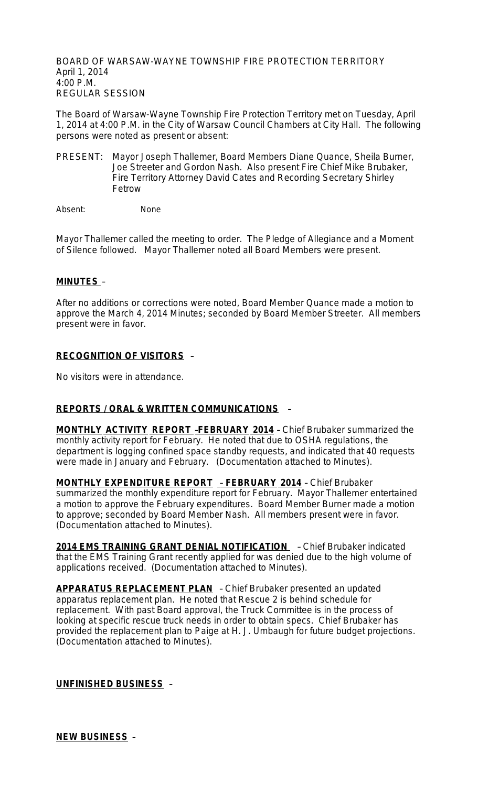BOARD OF WARSAW-WAYNE TOWNSHIP FIRE PROTECTION TERRITORY April 1, 2014 4:00 P.M. REGULAR SESSION

The Board of Warsaw-Wayne Township Fire Protection Territory met on Tuesday, April 1, 2014 at 4:00 P.M. in the City of Warsaw Council Chambers at City Hall. The following persons were noted as present or absent:

PRESENT: Mayor Joseph Thallemer, Board Members Diane Quance, Sheila Burner, Joe Streeter and Gordon Nash. Also present Fire Chief Mike Brubaker, Fire Territory Attorney David Cates and Recording Secretary Shirley Fetrow

Absent: None

Mayor Thallemer called the meeting to order. The Pledge of Allegiance and a Moment of Silence followed. Mayor Thallemer noted all Board Members were present.

#### **MINUTES** –

After no additions or corrections were noted, Board Member Quance made a motion to approve the March 4, 2014 Minutes; seconded by Board Member Streeter. All members present were in favor.

### **RECOGNITION OF VISITORS** –

No visitors were in attendance.

### **REPORTS / ORAL & WRITTEN COMMUNICATIONS** –

**MONTHLY ACTIVITY REPORT** –**FEBRUARY 2014** – Chief Brubaker summarized the monthly activity report for February. He noted that due to OSHA regulations, the department is logging confined space standby requests, and indicated that 40 requests were made in January and February. (Documentation attached to Minutes).

**MONTHLY EXPENDITURE REPORT** – **FEBRUARY 2014** – Chief Brubaker summarized the monthly expenditure report for February. Mayor Thallemer entertained a motion to approve the February expenditures. Board Member Burner made a motion to approve; seconded by Board Member Nash. All members present were in favor. (Documentation attached to Minutes).

2014 EMS TRAINING GRANT DENIAL NOTIFICATION - Chief Brubaker indicated that the EMS Training Grant recently applied for was denied due to the high volume of applications received. (Documentation attached to Minutes).

**APPARATUS REPLACEMENT PLAN** – Chief Brubaker presented an updated apparatus replacement plan. He noted that Rescue 2 is behind schedule for replacement. With past Board approval, the Truck Committee is in the process of looking at specific rescue truck needs in order to obtain specs. Chief Brubaker has provided the replacement plan to Paige at H. J. Umbaugh for future budget projections. (Documentation attached to Minutes).

**UNFINISHED BUSINESS** –

**NEW BUSINESS** –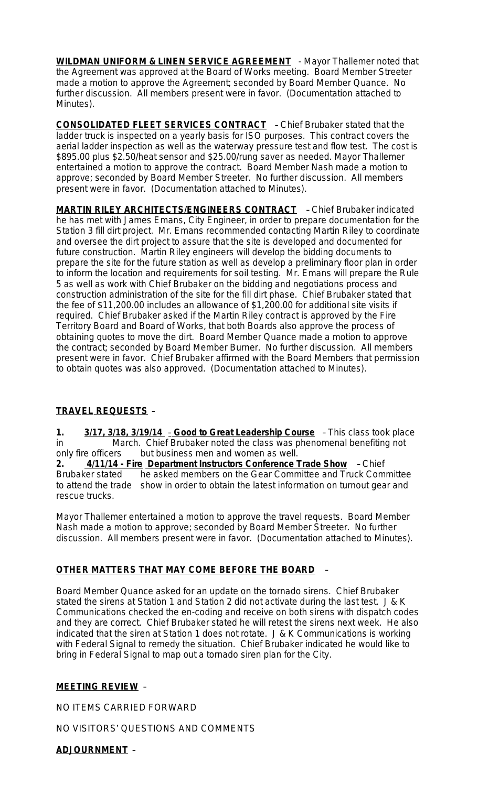**WILDMAN UNIFORM & LINEN SERVICE AGREEMENT** - Mayor Thallemer noted that the Agreement was approved at the Board of Works meeting. Board Member Streeter made a motion to approve the Agreement; seconded by Board Member Quance. No further discussion. All members present were in favor. (Documentation attached to Minutes).

**CONSOLIDATED FLEET SERVICES CONTRACT** – Chief Brubaker stated that the ladder truck is inspected on a yearly basis for ISO purposes. This contract covers the aerial ladder inspection as well as the waterway pressure test and flow test. The cost is \$895.00 plus \$2.50/heat sensor and \$25.00/rung saver as needed. Mayor Thallemer entertained a motion to approve the contract. Board Member Nash made a motion to approve; seconded by Board Member Streeter. No further discussion. All members present were in favor. (Documentation attached to Minutes).

**MARTIN RILEY ARCHITECTS/ENGINEERS CONTRACT** – Chief Brubaker indicated he has met with James Emans, City Engineer, in order to prepare documentation for the Station 3 fill dirt project. Mr. Emans recommended contacting Martin Riley to coordinate and oversee the dirt project to assure that the site is developed and documented for future construction. Martin Riley engineers will develop the bidding documents to prepare the site for the future station as well as develop a preliminary floor plan in order to inform the location and requirements for soil testing. Mr. Emans will prepare the Rule 5 as well as work with Chief Brubaker on the bidding and negotiations process and construction administration of the site for the fill dirt phase. Chief Brubaker stated that the fee of \$11,200.00 includes an allowance of \$1,200.00 for additional site visits if required. Chief Brubaker asked if the Martin Riley contract is approved by the Fire Territory Board and Board of Works, that both Boards also approve the process of obtaining quotes to move the dirt. Board Member Quance made a motion to approve the contract; seconded by Board Member Burner. No further discussion. All members present were in favor. Chief Brubaker affirmed with the Board Members that permission to obtain quotes was also approved. (Documentation attached to Minutes).

## **TRAVEL REQUESTS** –

**1. 3/17, 3/18, 3/19/14** – **Good to Great Leadership Course** – This class took place in March. Chief Brubaker noted the class was phenomenal benefiting not only fire officers but business men and women as well.

**2. 4/11/14 - Fire Department Instructors Conference Trade Show** – Chief Brubaker stated he asked members on the Gear Committee and Truck Committee to attend the trade show in order to obtain the latest information on turnout gear and rescue trucks.

Mayor Thallemer entertained a motion to approve the travel requests. Board Member Nash made a motion to approve; seconded by Board Member Streeter. No further discussion. All members present were in favor. (Documentation attached to Minutes).

### **OTHER MATTERS THAT MAY COME BEFORE THE BOARD** –

Board Member Quance asked for an update on the tornado sirens. Chief Brubaker stated the sirens at Station 1 and Station 2 did not activate during the last test. J & K Communications checked the en-coding and receive on both sirens with dispatch codes and they are correct. Chief Brubaker stated he will retest the sirens next week. He also indicated that the siren at Station 1 does not rotate. J & K Communications is working with Federal Signal to remedy the situation. Chief Brubaker indicated he would like to bring in Federal Signal to map out a tornado siren plan for the City.

### **MEETING REVIEW** –

NO ITEMS CARRIED FORWARD

NO VISITORS' QUESTIONS AND COMMENTS

**ADJOURNMENT** –